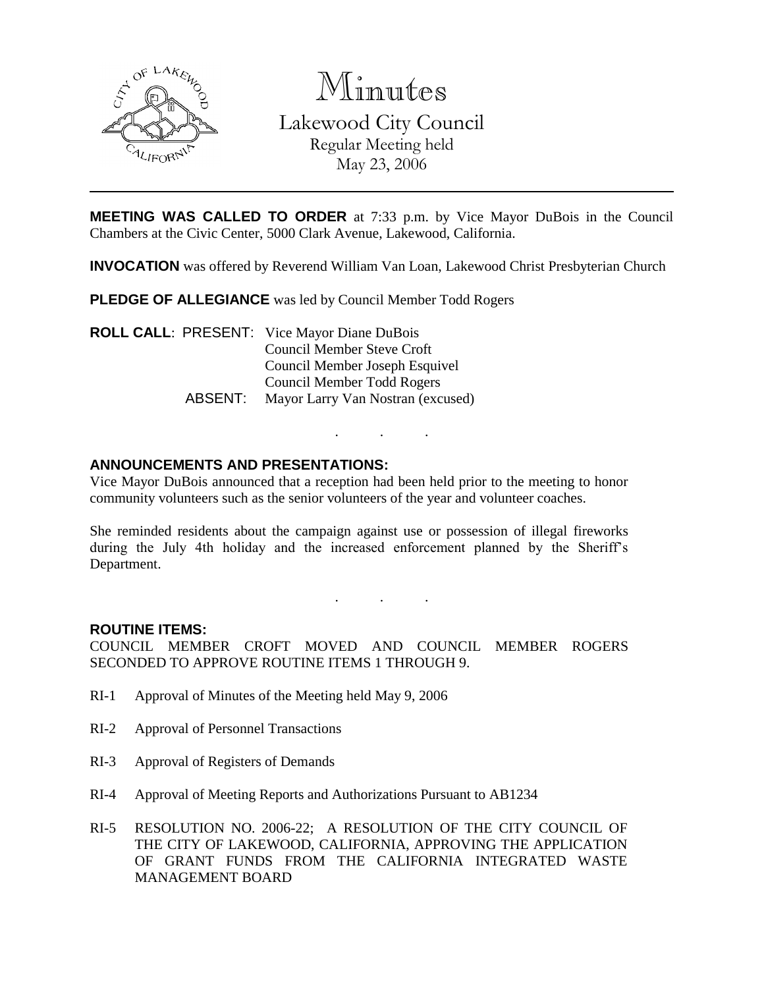

Minutes Lakewood City Council Regular Meeting held May 23, 2006

**MEETING WAS CALLED TO ORDER** at 7:33 p.m. by Vice Mayor DuBois in the Council Chambers at the Civic Center, 5000 Clark Avenue, Lakewood, California.

**INVOCATION** was offered by Reverend William Van Loan, Lakewood Christ Presbyterian Church

**PLEDGE OF ALLEGIANCE** was led by Council Member Todd Rogers

**ROLL CALL**: PRESENT: Vice Mayor Diane DuBois Council Member Steve Croft Council Member Joseph Esquivel Council Member Todd Rogers ABSENT: Mayor Larry Van Nostran (excused)

## **ANNOUNCEMENTS AND PRESENTATIONS:**

Vice Mayor DuBois announced that a reception had been held prior to the meeting to honor community volunteers such as the senior volunteers of the year and volunteer coaches.

. . .

She reminded residents about the campaign against use or possession of illegal fireworks during the July 4th holiday and the increased enforcement planned by the Sheriff's Department.

. . .

### **ROUTINE ITEMS:**

COUNCIL MEMBER CROFT MOVED AND COUNCIL MEMBER ROGERS SECONDED TO APPROVE ROUTINE ITEMS 1 THROUGH 9.

- RI-1 Approval of Minutes of the Meeting held May 9, 2006
- RI-2 Approval of Personnel Transactions
- RI-3 Approval of Registers of Demands
- RI-4 Approval of Meeting Reports and Authorizations Pursuant to AB1234
- RI-5 RESOLUTION NO. 2006-22; A RESOLUTION OF THE CITY COUNCIL OF THE CITY OF LAKEWOOD, CALIFORNIA, APPROVING THE APPLICATION OF GRANT FUNDS FROM THE CALIFORNIA INTEGRATED WASTE MANAGEMENT BOARD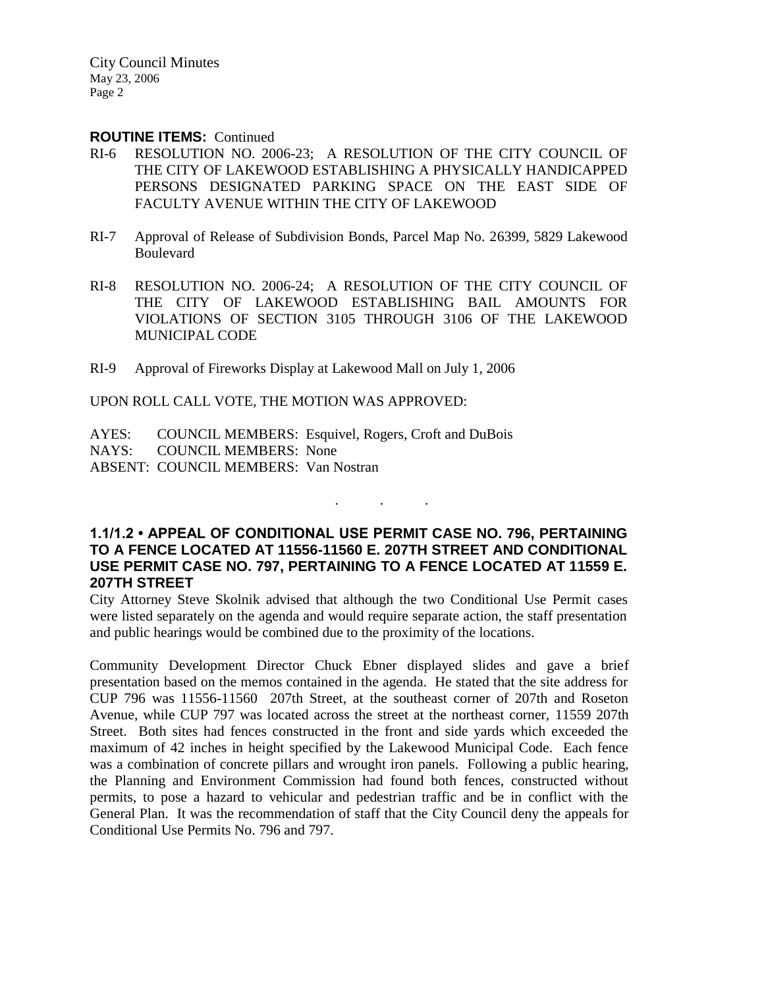#### **ROUTINE ITEMS:** Continued

- RI-6 RESOLUTION NO. 2006-23; A RESOLUTION OF THE CITY COUNCIL OF THE CITY OF LAKEWOOD ESTABLISHING A PHYSICALLY HANDICAPPED PERSONS DESIGNATED PARKING SPACE ON THE EAST SIDE OF FACULTY AVENUE WITHIN THE CITY OF LAKEWOOD
- RI-7 Approval of Release of Subdivision Bonds, Parcel Map No. 26399, 5829 Lakewood Boulevard
- RI-8 RESOLUTION NO. 2006-24; A RESOLUTION OF THE CITY COUNCIL OF THE CITY OF LAKEWOOD ESTABLISHING BAIL AMOUNTS FOR VIOLATIONS OF SECTION 3105 THROUGH 3106 OF THE LAKEWOOD MUNICIPAL CODE
- RI-9 Approval of Fireworks Display at Lakewood Mall on July 1, 2006

UPON ROLL CALL VOTE, THE MOTION WAS APPROVED:

AYES: COUNCIL MEMBERS: Esquivel, Rogers, Croft and DuBois NAYS: COUNCIL MEMBERS: None ABSENT: COUNCIL MEMBERS: Van Nostran

## **1.1/1.2 • APPEAL OF CONDITIONAL USE PERMIT CASE NO. 796, PERTAINING TO A FENCE LOCATED AT 11556-11560 E. 207TH STREET AND CONDITIONAL USE PERMIT CASE NO. 797, PERTAINING TO A FENCE LOCATED AT 11559 E. 207TH STREET**

. . .

City Attorney Steve Skolnik advised that although the two Conditional Use Permit cases were listed separately on the agenda and would require separate action, the staff presentation and public hearings would be combined due to the proximity of the locations.

Community Development Director Chuck Ebner displayed slides and gave a brief presentation based on the memos contained in the agenda. He stated that the site address for CUP 796 was 11556-11560 207th Street, at the southeast corner of 207th and Roseton Avenue, while CUP 797 was located across the street at the northeast corner, 11559 207th Street. Both sites had fences constructed in the front and side yards which exceeded the maximum of 42 inches in height specified by the Lakewood Municipal Code. Each fence was a combination of concrete pillars and wrought iron panels. Following a public hearing, the Planning and Environment Commission had found both fences, constructed without permits, to pose a hazard to vehicular and pedestrian traffic and be in conflict with the General Plan. It was the recommendation of staff that the City Council deny the appeals for Conditional Use Permits No. 796 and 797.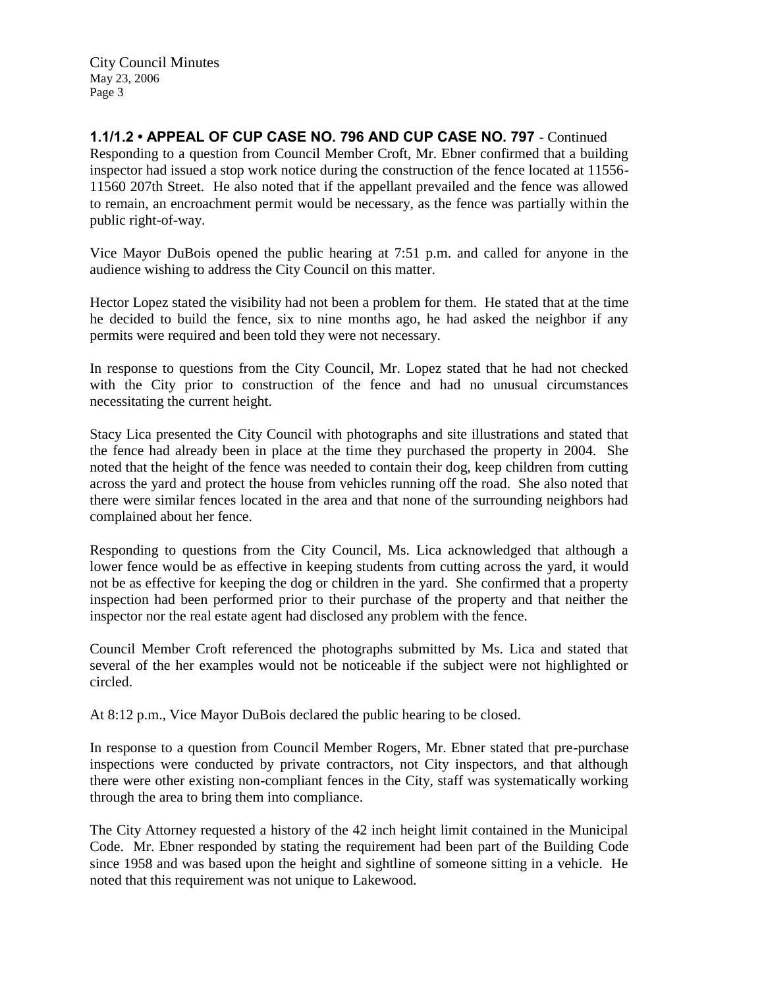**1.1/1.2 • APPEAL OF CUP CASE NO. 796 AND CUP CASE NO. 797** - Continued Responding to a question from Council Member Croft, Mr. Ebner confirmed that a building inspector had issued a stop work notice during the construction of the fence located at 11556- 11560 207th Street. He also noted that if the appellant prevailed and the fence was allowed to remain, an encroachment permit would be necessary, as the fence was partially within the public right-of-way.

Vice Mayor DuBois opened the public hearing at 7:51 p.m. and called for anyone in the audience wishing to address the City Council on this matter.

Hector Lopez stated the visibility had not been a problem for them. He stated that at the time he decided to build the fence, six to nine months ago, he had asked the neighbor if any permits were required and been told they were not necessary.

In response to questions from the City Council, Mr. Lopez stated that he had not checked with the City prior to construction of the fence and had no unusual circumstances necessitating the current height.

Stacy Lica presented the City Council with photographs and site illustrations and stated that the fence had already been in place at the time they purchased the property in 2004. She noted that the height of the fence was needed to contain their dog, keep children from cutting across the yard and protect the house from vehicles running off the road. She also noted that there were similar fences located in the area and that none of the surrounding neighbors had complained about her fence.

Responding to questions from the City Council, Ms. Lica acknowledged that although a lower fence would be as effective in keeping students from cutting across the yard, it would not be as effective for keeping the dog or children in the yard. She confirmed that a property inspection had been performed prior to their purchase of the property and that neither the inspector nor the real estate agent had disclosed any problem with the fence.

Council Member Croft referenced the photographs submitted by Ms. Lica and stated that several of the her examples would not be noticeable if the subject were not highlighted or circled.

At 8:12 p.m., Vice Mayor DuBois declared the public hearing to be closed.

In response to a question from Council Member Rogers, Mr. Ebner stated that pre-purchase inspections were conducted by private contractors, not City inspectors, and that although there were other existing non-compliant fences in the City, staff was systematically working through the area to bring them into compliance.

The City Attorney requested a history of the 42 inch height limit contained in the Municipal Code. Mr. Ebner responded by stating the requirement had been part of the Building Code since 1958 and was based upon the height and sightline of someone sitting in a vehicle. He noted that this requirement was not unique to Lakewood.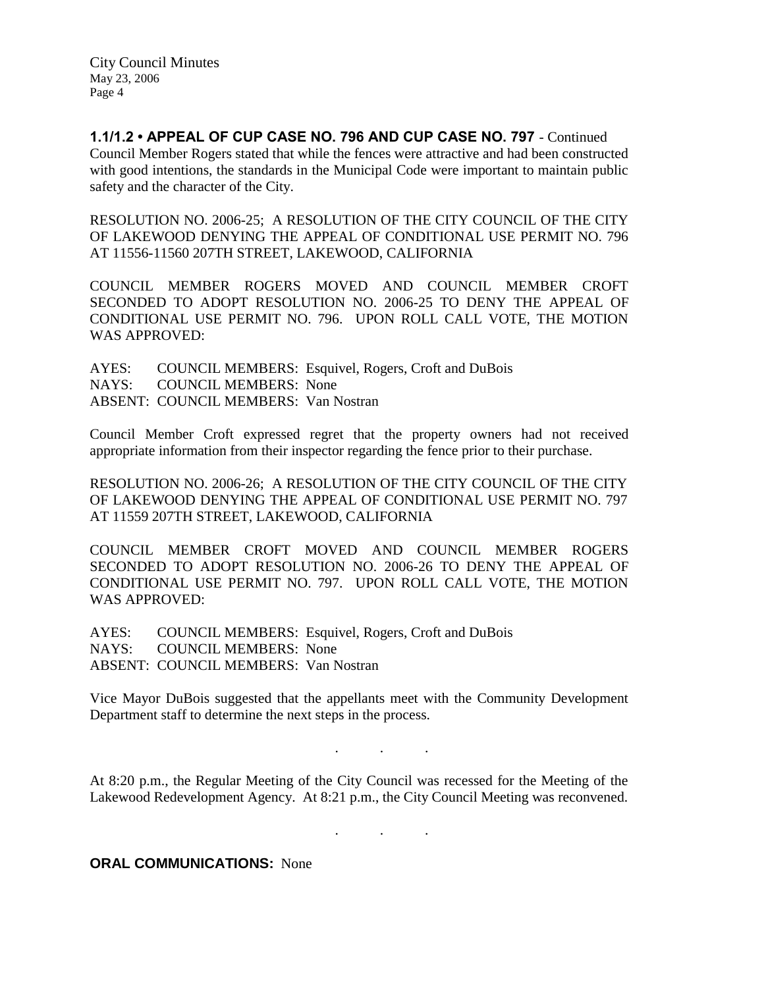**1.1/1.2 • APPEAL OF CUP CASE NO. 796 AND CUP CASE NO. 797** - Continued Council Member Rogers stated that while the fences were attractive and had been constructed with good intentions, the standards in the Municipal Code were important to maintain public safety and the character of the City.

RESOLUTION NO. 2006-25; A RESOLUTION OF THE CITY COUNCIL OF THE CITY OF LAKEWOOD DENYING THE APPEAL OF CONDITIONAL USE PERMIT NO. 796 AT 11556-11560 207TH STREET, LAKEWOOD, CALIFORNIA

COUNCIL MEMBER ROGERS MOVED AND COUNCIL MEMBER CROFT SECONDED TO ADOPT RESOLUTION NO. 2006-25 TO DENY THE APPEAL OF CONDITIONAL USE PERMIT NO. 796. UPON ROLL CALL VOTE, THE MOTION WAS APPROVED:

AYES: COUNCIL MEMBERS: Esquivel, Rogers, Croft and DuBois NAYS: COUNCIL MEMBERS: None ABSENT: COUNCIL MEMBERS: Van Nostran

Council Member Croft expressed regret that the property owners had not received appropriate information from their inspector regarding the fence prior to their purchase.

RESOLUTION NO. 2006-26; A RESOLUTION OF THE CITY COUNCIL OF THE CITY OF LAKEWOOD DENYING THE APPEAL OF CONDITIONAL USE PERMIT NO. 797 AT 11559 207TH STREET, LAKEWOOD, CALIFORNIA

COUNCIL MEMBER CROFT MOVED AND COUNCIL MEMBER ROGERS SECONDED TO ADOPT RESOLUTION NO. 2006-26 TO DENY THE APPEAL OF CONDITIONAL USE PERMIT NO. 797. UPON ROLL CALL VOTE, THE MOTION WAS APPROVED:

AYES: COUNCIL MEMBERS: Esquivel, Rogers, Croft and DuBois NAYS: COUNCIL MEMBERS: None ABSENT: COUNCIL MEMBERS: Van Nostran

Vice Mayor DuBois suggested that the appellants meet with the Community Development Department staff to determine the next steps in the process.

At 8:20 p.m., the Regular Meeting of the City Council was recessed for the Meeting of the Lakewood Redevelopment Agency. At 8:21 p.m., the City Council Meeting was reconvened.

. . .

. . .

**ORAL COMMUNICATIONS:** None